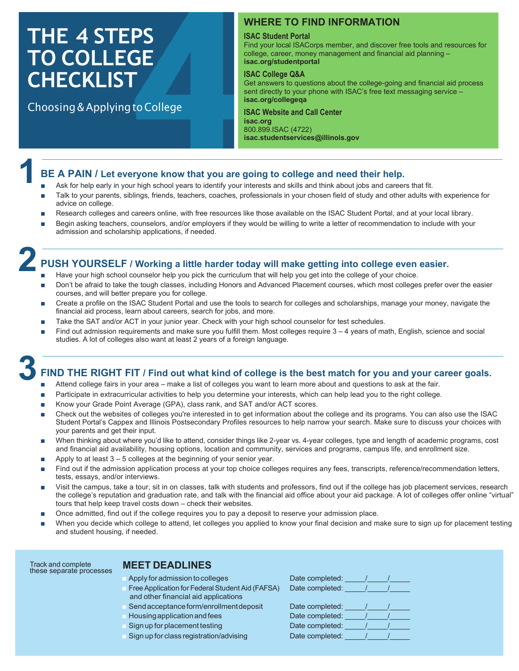# **THE 4 STEPS TO COLLEGE CHECKLIST**

**1**

Choosing & Applying to College

# **WHERE TO FIND INFORMATION**

#### **ISAC Student Portal**

Find your local ISACorps member, and discover free tools and resources for college, career, money management and financial aid planning – **isac.org/studentportal**

# **ISAC College Q&A**

Get answers to questions about the college-going and financial aid process sent directly to your phone with ISAC's free text messaging service – **isac.org/collegeqa**

# **ISAC Website and Call Center isac.org**

800.899.ISAC (4722) **isac.studentservices@illinois.gov**

# **BE A PAIN / Let everyone know that you are going to college and need their help.**

- Ask for help early in your high school years to identify your interests and skills and think about jobs and careers that fit.
- Talk to your parents, siblings, friends, teachers, coaches, professionals in your chosen field of study and other adults with experience for advice on college.
- Research colleges and careers online, with free resources like those available on the ISAC Student Portal, and at your local library.
- Begin asking teachers, counselors, and/or employers if they would be willing to write a letter of recommendation to include with your admission and scholarship applications, if needed.

# **2 PUSH YOURSELF / Working a little harder today will make getting into college even easier.**

- Have your high school counselor help you pick the curriculum that will help you get into the college of your choice.
- Don't be afraid to take the tough classes, including Honors and Advanced Placement courses, which most colleges prefer over the easier courses, and will better prepare you for college.
- Create a profile on the ISAC Student Portal and use the tools to search for colleges and scholarships, manage your money, navigate the financial aid process, learn about careers, search for jobs, and more.
- Take the SAT and/or ACT in your junior year. Check with your high school counselor for test schedules.
- Find out admission requirements and make sure you fulfill them. Most colleges require  $3 4$  years of math, English, science and social studies. A lot of colleges also want at least 2 years of a foreign language.

# **3 FIND THE RIGHT FIT / Find out what kind of college is the best match for you and your career goals.**

- Attend college fairs in your area make a list of colleges you want to learn more about and questions to ask at the fair.
- Participate in extracurricular activities to help you determine your interests, which can help lead you to the right college.
- Know your Grade Point Average (GPA), class rank, and SAT and/or ACT scores.
- Check out the websites of colleges you're interested in to get information about the college and its programs. You can also use the ISAC Student Portal's Cappex and Illinois Postsecondary Profiles resources to help narrow your search. Make sure to discuss your choices with your parents and get their input.
- When thinking about where you'd like to attend, consider things like 2-year vs. 4-year colleges, type and length of academic programs, cost and financial aid availability, housing options, location and community, services and programs, campus life, and enrollment size.
- $\blacksquare$  Apply to at least  $3 5$  colleges at the beginning of your senior year.
- Find out if the admission application process at your top choice colleges requires any fees, transcripts, reference/recommendation letters, tests, essays, and/or interviews.
- Visit the campus, take a tour, sit in on classes, talk with students and professors, find out if the college has job placement services, research the college's reputation and graduation rate, and talk with the financial aid office about your aid package. A lot of colleges offer online "virtual" tours that help keep travel costs down – check their websites.
- Once admitted, find out if the college requires you to pay a deposit to reserve your admission place.
- When you decide which college to attend, let colleges you applied to know your final decision and make sure to sign up for placement testing and student housing, if needed.

| Track and complete<br>these separate processes | <b>MEET DEADLINES</b>                                                                    |                 |
|------------------------------------------------|------------------------------------------------------------------------------------------|-----------------|
|                                                | Apply for admission to colleges                                                          | Date completed: |
|                                                | Free Application for Federal Student Aid (FAFSA)<br>and other financial aid applications | Date completed: |
|                                                | Send acceptance form/enrollment deposit                                                  | Date completed: |
|                                                | Housing application and fees                                                             | Date completed: |
|                                                | Sign up for placement testing                                                            | Date completed: |

■ Sign up for class registration/advising Date completed: